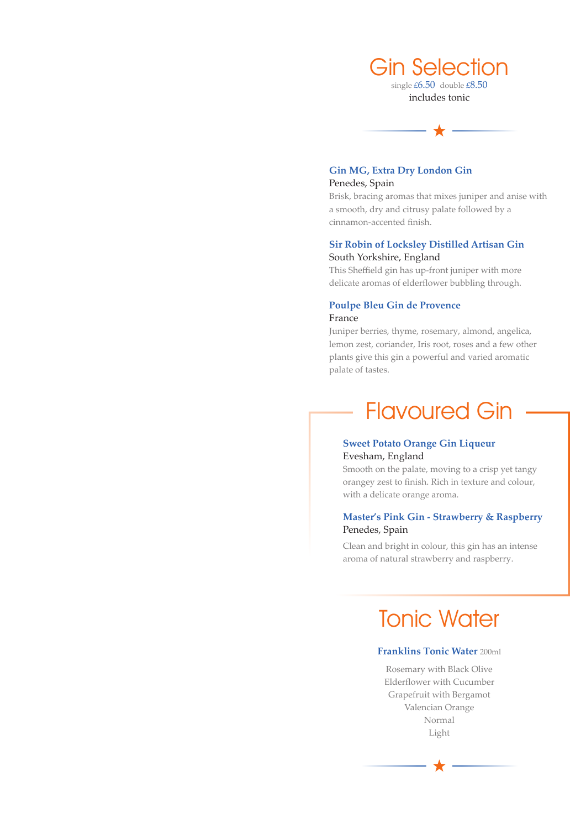

includes tonic



### **Gin MG, Extra Dry London Gin** Penedes, Spain

Brisk, bracing aromas that mixes juniper and anise with a smooth, dry and citrusy palate followed by a cinnamon-accented finish.

### **Sir Robin of Locksley Distilled Artisan Gin** South Yorkshire, England

This Sheffield gin has up-front juniper with more delicate aromas of elderflower bubbling through.

#### **Poulpe Bleu Gin de Provence** France

Juniper berries, thyme, rosemary, almond, angelica, lemon zest, coriander, Iris root, roses and a few other plants give this gin a powerful and varied aromatic palate of tastes.

### Flavoured Gin

### **Sweet Potato Orange Gin Liqueur** Evesham, England

Smooth on the palate, moving to a crisp yet tangy orangey zest to finish. Rich in texture and colour, with a delicate orange aroma.

### **Master's Pink Gin - Strawberry & Raspberry** Penedes, Spain

Clean and bright in colour, this gin has an intense aroma of natural strawberry and raspberry.

### Tonic Water

### **Franklins Tonic Water** 200ml

Rosemary with Black Olive Elderflower with Cucumber Grapefruit with Bergamot Valencian Orange Normal Light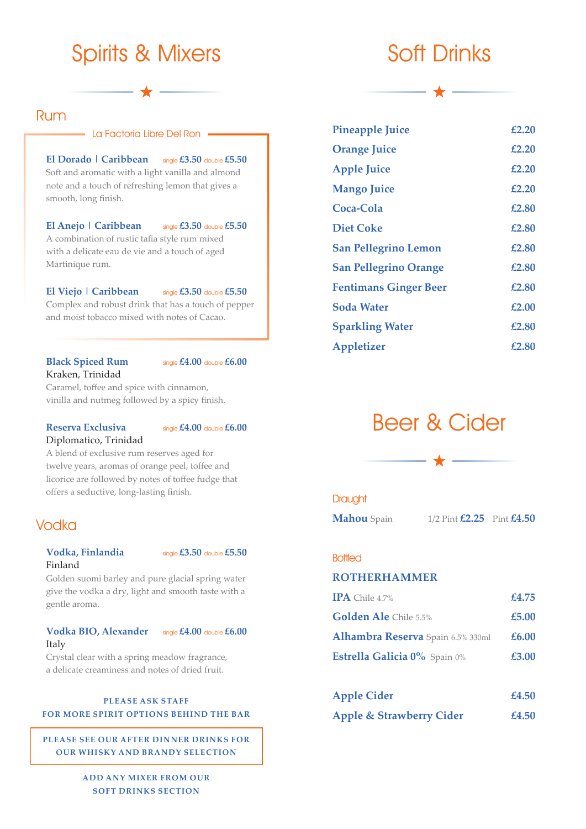### Spirits & Mixers

### Rum

#### - La Factoria Libre Del Ron -

#### **El Dorado | Caribbean** single **£3.50** double **£5.50**

Soft and aromatic with a light vanilla and almond note and a touch of refreshing lemon that gives a smooth, long finish.

### **El Anejo | Caribbean** single **£3.50** double **£5.50**

A combination of rustic tafia style rum mixed with a delicate eau de vie and a touch of aged Martinique rum.

#### **El Viejo | Caribbean** single **£3.50** double **£5.50**

Complex and robust drink that has a touch of pepper and moist tobacco mixed with notes of Cacao.

### Kraken, Trinidad

**Black Spiced Rum** single  $£4.00$  double  $£6.00$ 

Caramel, toffee and spice with cinnamon, vinilla and nutmeg followed by a spicy finish.

#### **Reserva Exclusiva** single  $£4.00$  double  $£6.00$

Diplomatico, Trinidad



A blend of exclusive rum reserves aged for twelve years, aromas of orange peel, toffee and licorice are followed by notes of toffee fudge that offers a seductive, long-lasting finish.

### Vodka

### **Vodka, Finlandia** single **£3.50** double **£5.50** Finland

Golden suomi barley and pure glacial spring water give the vodka a dry, light and smooth taste with a gentle aroma.

### **Vodka BIO, Alexander** single **£4.00** double **£6.00** Italy



Crystal clear with a spring meadow fragrance, a delicate creaminess and notes of dried fruit.

#### **PLEASE ASK STAFF FOR MORE SPIRIT OPTIONS BEHIND THE BAR**

**PLEASE SEE OUR AFTER DINNER DRINKS FOR OUR WHISKY AND BRANDY SELECTION**

> **ADD ANY MIXER FROM OUR SOFT DRINKS SECTION**

### Soft Drinks

| <b>Pineapple Juice</b>       | £2.20 |
|------------------------------|-------|
| <b>Orange Juice</b>          | £2.20 |
| <b>Apple Juice</b>           | £2.20 |
| <b>Mango Juice</b>           | £2.20 |
| Coca-Cola                    | £2.80 |
| <b>Diet Coke</b>             | £2.80 |
| <b>San Pellegrino Lemon</b>  | £2.80 |
| <b>San Pellegrino Orange</b> | £2.80 |
| <b>Fentimans Ginger Beer</b> | £2.80 |
| <b>Soda Water</b>            | £2.00 |
| <b>Sparkling Water</b>       | £2.80 |
| <b>Appletizer</b>            | £2.80 |

### Beer & Cider



### **Draught**

**Mahou** Spain 1/2 Pint **£2.25** Pint **£4.50**

### **Bottled**

### **ROTHERHAMMER**

| $IPA$ Chile 4.7%                  | £4.75 |
|-----------------------------------|-------|
| Golden Ale Chile 5.5%             | £5.00 |
| Alhambra Reserva Spain 6.5% 330ml | £6.00 |
| Estrella Galicia 0% Spain 0%      | £3.00 |
|                                   |       |

| <b>Apple Cider</b>                  | £4.50 |
|-------------------------------------|-------|
| <b>Apple &amp; Strawberry Cider</b> | £4.50 |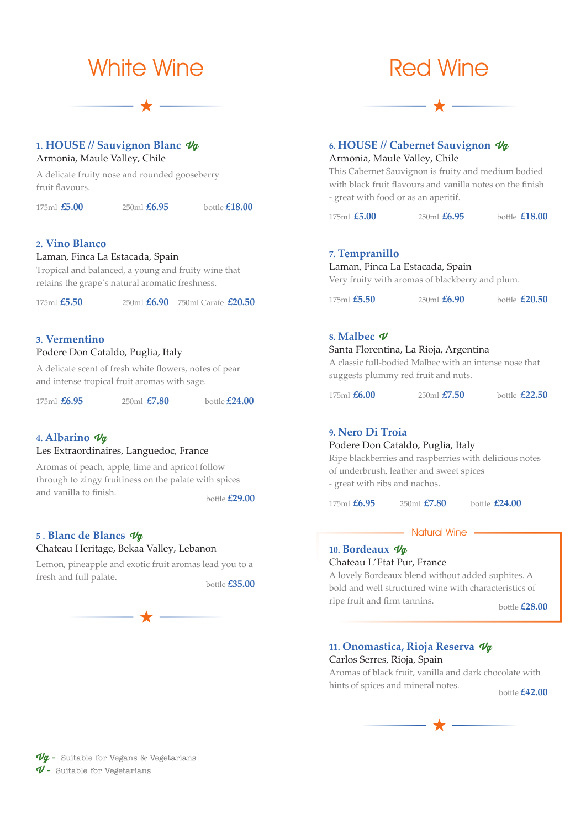

### **1. HOUSE // Sauvignon Blanc Vg**

Armonia, Maule Valley, Chile

A delicate fruity nose and rounded gooseberry fruit flavours.

175ml **£5.00** 250ml **£6.95** bottle **£18.00**

### **2. Vino Blanco**

### Laman, Finca La Estacada, Spain

Tropical and balanced, a young and fruity wine that retains the grape`s natural aromatic freshness.

175ml **£5.50** 250ml **£6.90** 750ml Carafe **£20.50**

### **3. Vermentino**

### Podere Don Cataldo, Puglia, Italy

A delicate scent of fresh white flowers, notes of pear and intense tropical fruit aromas with sage.

|  | $175ml$ $E6.95$ |  |  | $250ml$ $E7.80$ | bottle $£24.00$ |
|--|-----------------|--|--|-----------------|-----------------|
|--|-----------------|--|--|-----------------|-----------------|

#### **4. Albarino Vg**

### Les Extraordinaires, Languedoc, France

Aromas of peach, apple, lime and apricot follow through to zingy fruitiness on the palate with spices and vanilla to finish. bottle **£29.00** 

### **5 . Blanc de Blancs Vg**

### Chateau Heritage, Bekaa Valley, Lebanon

Lemon, pineapple and exotic fruit aromas lead you to a fresh and full palate.

### Red Wine

### **6. HOUSE // Cabernet Sauvignon Vg**

Armonia, Maule Valley, Chile

This Cabernet Sauvignon is fruity and medium bodied with black fruit flavours and vanilla notes on the finish - great with food or as an aperitif.

175ml **£5.00** 250ml **£6.95** bottle **£18.00**

#### **7. Tempranillo**

### Laman, Finca La Estacada, Spain

Very fruity with aromas of blackberry and plum.

| 175ml $£5.50$ | $250ml\,$ <b>£6.90</b> |  | bottle $£20.50$ |
|---------------|------------------------|--|-----------------|
|---------------|------------------------|--|-----------------|

#### **8. Malbec V**

### Santa Florentina, La Rioja, Argentina

A classic full-bodied Malbec with an intense nose that suggests plummy red fruit and nuts.

175ml **£6.00** 250ml **£7.50** bottle **£22.50**

### **9. Nero Di Troia**

#### Podere Don Cataldo, Puglia, Italy

Ripe blackberries and raspberries with delicious notes of underbrush, leather and sweet spices - great with ribs and nachos.

175ml **£6.95** 250ml **£7.80** bottle **£24.00**

#### - Natural Wine

### **10. Bordeaux Vg** Chateau L'Etat Pur, France

A lovely Bordeaux blend without added suphites. A bold and well structured wine with characteristics of ripe fruit and firm tannins. bottle **£28.00** 

### **11. Onomastica, Rioja Reserva Vg**

Carlos Serres, Rioja, Spain

Aromas of black fruit, vanilla and dark chocolate with hints of spices and mineral notes.<br>bottle **£42.00** 

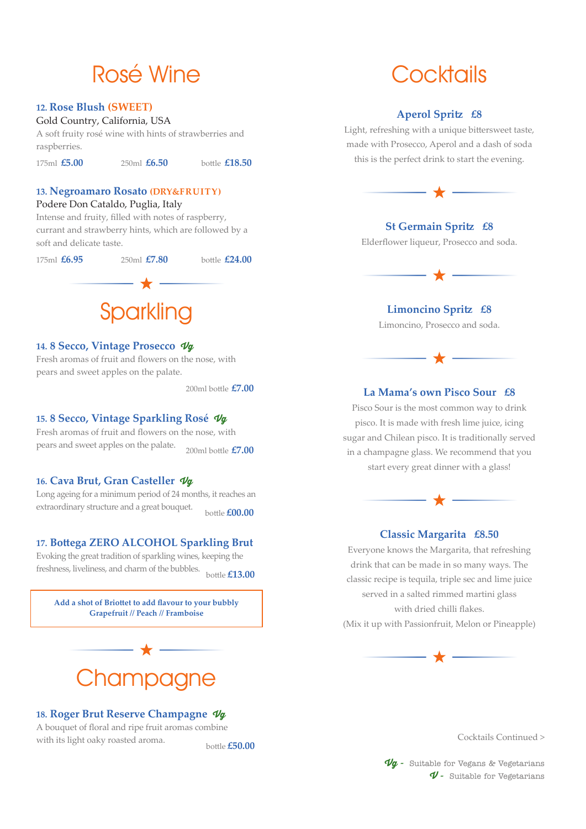### Rosé Wine

### **12. Rose Blush (SWEET)**

#### Gold Country, California, USA

A soft fruity rosé wine with hints of strawberries and raspberries.

175ml **£5.00** 250ml **£6.50** bottle **£18.50**

### **13. Negroamaro Rosato (DRY&FRUITY)**

### Podere Don Cataldo, Puglia, Italy

Intense and fruity, filled with notes of raspberry, currant and strawberry hints, which are followed by a soft and delicate taste.

175ml **£6.95** 250ml **£7.80** bottle **£24.00** - ★ -**Sparkling** 

### **14. 8 Secco, Vintage Prosecco Vg**

Fresh aromas of fruit and flowers on the nose, with pears and sweet apples on the palate.

200ml bottle **£7.00**

### **15. 8 Secco, Vintage Sparkling Rosé Vg**

Fresh aromas of fruit and flowers on the nose, with pears and sweet apples on the palate. 200ml bottle **£7.00**

#### **16. Cava Brut, Gran Casteller Vg**

Long ageing for a minimum period of 24 months, it reaches an extraordinary structure and a great bouquet.<br>bottle **£00.00** 

### **17. Bottega ZERO ALCOHOL Sparkling Brut**

Evoking the great tradition of sparkling wines, keeping the freshness, liveliness, and charm of the bubbles. bottle **£13.00**

**Add a shot of Briottet to add flavour to your bubbly Grapefruit // Peach // Framboise**

## **Champagne**

### **18. Roger Brut Reserve Champagne Vg**

A bouquet of floral and ripe fruit aromas combine with its light oaky roasted aroma. bottle **£50.00** 

### **Cocktails**

### **Aperol Spritz £8**

Light, refreshing with a unique bittersweet taste, made with Prosecco, Aperol and a dash of soda this is the perfect drink to start the evening.



### **St Germain Spritz £8**

Elderflower liqueur, Prosecco and soda.

$$
\overline{\phantom{m}}\hspace{-1.6cm}\phantom{m} \hspace{-1.2cm}\star\overline{\phantom{m}}\hspace{-1.2cm}\phantom{m}
$$

#### **Limoncino Spritz £8**

Limoncino, Prosecco and soda.



### **La Mama's own Pisco Sour £8**

Pisco Sour is the most common way to drink pisco. It is made with fresh lime juice, icing sugar and Chilean pisco. It is traditionally served in a champagne glass. We recommend that you start every great dinner with a glass!



### **Classic Margarita £8.50**

Everyone knows the Margarita, that refreshing drink that can be made in so many ways. The classic recipe is tequila, triple sec and lime juice served in a salted rimmed martini glass with dried chilli flakes. (Mix it up with Passionfruit, Melon or Pineapple)

- ★ -

Cocktails Continued >

**Vg -** Suitable for Vegans & Vegetarians **V -** Suitable for Vegetarians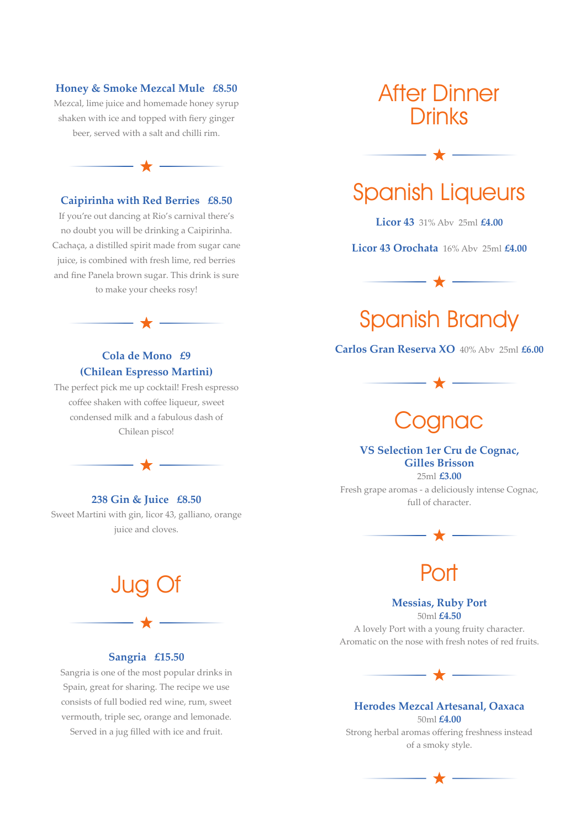#### **Honey & Smoke Mezcal Mule £8.50**

Mezcal, lime juice and homemade honey syrup shaken with ice and topped with fiery ginger beer, served with a salt and chilli rim.

### **Caipirinha with Red Berries £8.50**

 $\overline{\phantom{m}}$   $\star$   $-$ 

If you're out dancing at Rio's carnival there's no doubt you will be drinking a Caipirinha. Cachaça, a distilled spirit made from sugar cane juice, is combined with fresh lime, red berries and fine Panela brown sugar. This drink is sure to make your cheeks rosy!

### **Cola de Mono £9 (Chilean Espresso Martini)**

 $\overline{\phantom{a}}$   $\overline{\phantom{a}}$ 

The perfect pick me up cocktail! Fresh espresso coffee shaken with coffee liqueur, sweet condensed milk and a fabulous dash of Chilean pisco!

**238 Gin & Juice £8.50** Sweet Martini with gin, licor 43, galliano, orange juice and cloves.

# Jug Of

### **Sangria £15.50**

Sangria is one of the most popular drinks in Spain, great for sharing. The recipe we use consists of full bodied red wine, rum, sweet vermouth, triple sec, orange and lemonade.

Served in a jug filled with ice and fruit.

### After Dinner **Drinks**

### Spanish Liqueurs

**Licor 43** 31% Abv 25ml **£4.00**

**Licor 43 Orochata** 16% Abv 25ml **£4.00**

– ★ —



**Carlos Gran Reserva XO** 40% Abv 25ml **£6.00**

### oanac

### **VS Selection 1er Cru de Cognac, Gilles Brisson** 25ml **£3.00**

Fresh grape aromas - a deliciously intense Cognac, full of character.



### Port

### **Messias, Ruby Port**

50ml **£4.50**

A lovely Port with a young fruity character. Aromatic on the nose with fresh notes of red fruits.



#### **Herodes Mezcal Artesanal, Oaxaca** 50ml **£4.00**

Strong herbal aromas offering freshness instead of a smoky style.

 $\star$  -